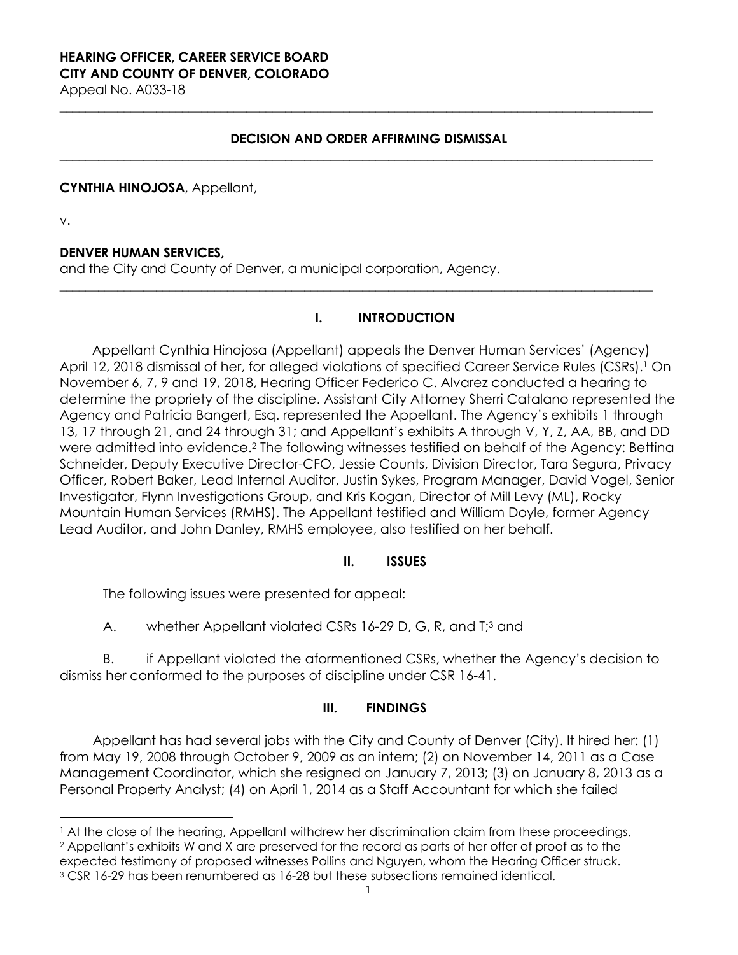# **HEARING OFFICER, CAREER SERVICE BOARD CITY AND COUNTY OF DENVER, COLORADO**

Appeal No. A033-18

### **DECISION AND ORDER AFFIRMING DISMISSAL**

**\_\_\_\_\_\_\_\_\_\_\_\_\_\_\_\_\_\_\_\_\_\_\_\_\_\_\_\_\_\_\_\_\_\_\_\_\_\_\_\_\_\_\_\_\_\_\_\_\_\_\_\_\_\_\_\_\_\_\_\_\_\_\_\_\_\_\_\_\_\_\_\_\_\_\_\_\_\_\_\_\_\_\_\_\_\_\_\_\_\_\_\_**

**\_\_\_\_\_\_\_\_\_\_\_\_\_\_\_\_\_\_\_\_\_\_\_\_\_\_\_\_\_\_\_\_\_\_\_\_\_\_\_\_\_\_\_\_\_\_\_\_\_\_\_\_\_\_\_\_\_\_\_\_\_\_\_\_\_\_\_\_\_\_\_\_\_\_\_\_\_\_\_\_\_\_\_\_\_\_\_\_\_\_\_\_**

**\_\_\_\_\_\_\_\_\_\_\_\_\_\_\_\_\_\_\_\_\_\_\_\_\_\_\_\_\_\_\_\_\_\_\_\_\_\_\_\_\_\_\_\_\_\_\_\_\_\_\_\_\_\_\_\_\_\_\_\_\_\_\_\_\_\_\_\_\_\_\_\_\_\_\_\_\_\_\_\_\_\_\_\_\_\_\_\_\_\_\_\_** 

### **CYNTHIA HINOJOSA**, Appellant,

v.

i

## **DENVER HUMAN SERVICES,**

and the City and County of Denver, a municipal corporation, Agency.

## **I. INTRODUCTION**

Appellant Cynthia Hinojosa (Appellant) appeals the Denver Human Services' (Agency) April 12, 2018 dismissal of her, for alleged violations of specified Career Service Rules (CSRs).<sup>1</sup> On November 6, 7, 9 and 19, 2018, Hearing Officer Federico C. Alvarez conducted a hearing to determine the propriety of the discipline. Assistant City Attorney Sherri Catalano represented the Agency and Patricia Bangert, Esq. represented the Appellant. The Agency's exhibits 1 through 13, 17 through 21, and 24 through 31; and Appellant's exhibits A through V, Y, Z, AA, BB, and DD were admitted into evidence.2 The following witnesses testified on behalf of the Agency: Bettina Schneider, Deputy Executive Director-CFO, Jessie Counts, Division Director, Tara Segura, Privacy Officer, Robert Baker, Lead Internal Auditor, Justin Sykes, Program Manager, David Vogel, Senior Investigator, Flynn Investigations Group, and Kris Kogan, Director of Mill Levy (ML), Rocky Mountain Human Services (RMHS). The Appellant testified and William Doyle, former Agency Lead Auditor, and John Danley, RMHS employee, also testified on her behalf.

### **II. ISSUES**

The following issues were presented for appeal:

A. whether Appellant violated CSRs 16-29 D, G, R, and T;<sup>3</sup> and

B. if Appellant violated the aformentioned CSRs, whether the Agency's decision to dismiss her conformed to the purposes of discipline under CSR 16-41.

## **III. FINDINGS**

Appellant has had several jobs with the City and County of Denver (City). It hired her: (1) from May 19, 2008 through October 9, 2009 as an intern; (2) on November 14, 2011 as a Case Management Coordinator, which she resigned on January 7, 2013; (3) on January 8, 2013 as a Personal Property Analyst; (4) on April 1, 2014 as a Staff Accountant for which she failed

<sup>1</sup> At the close of the hearing, Appellant withdrew her discrimination claim from these proceedings. 2 Appellant's exhibits W and X are preserved for the record as parts of her offer of proof as to the expected testimony of proposed witnesses Pollins and Nguyen, whom the Hearing Officer struck. 3 CSR 16-29 has been renumbered as 16-28 but these subsections remained identical.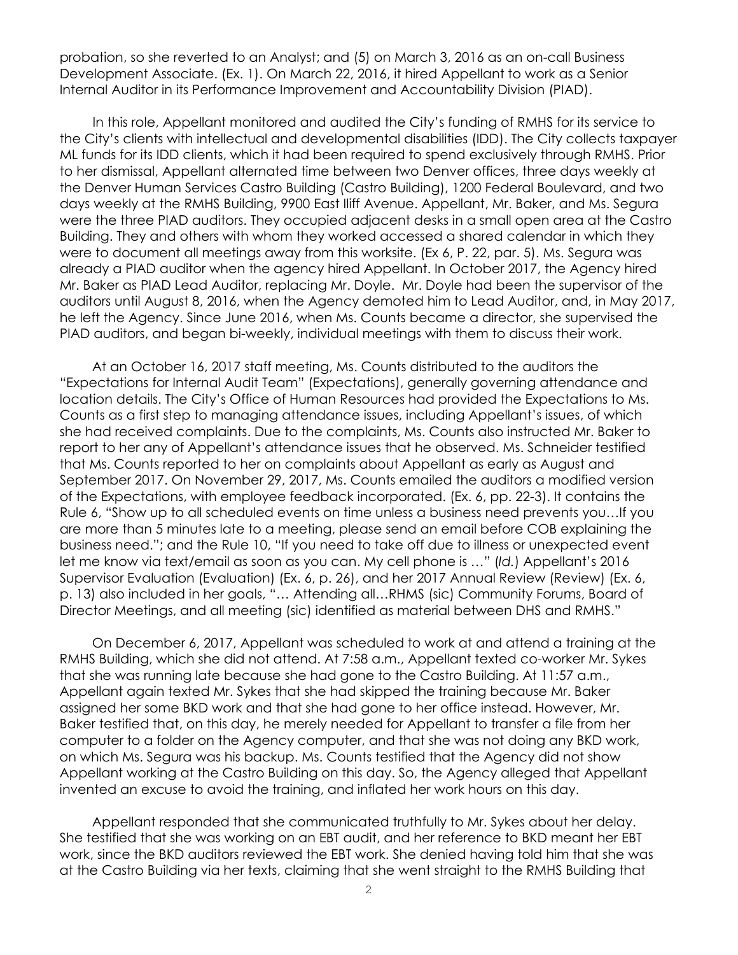probation, so she reverted to an Analyst; and (5) on March 3, 2016 as an on-call Business Development Associate. (Ex. 1). On March 22, 2016, it hired Appellant to work as a Senior Internal Auditor in its Performance Improvement and Accountability Division (PIAD).

In this role, Appellant monitored and audited the City's funding of RMHS for its service to the City's clients with intellectual and developmental disabilities (IDD). The City collects taxpayer ML funds for its IDD clients, which it had been required to spend exclusively through RMHS. Prior to her dismissal, Appellant alternated time between two Denver offices, three days weekly at the Denver Human Services Castro Building (Castro Building), 1200 Federal Boulevard, and two days weekly at the RMHS Building, 9900 East Iliff Avenue. Appellant, Mr. Baker, and Ms. Segura were the three PIAD auditors. They occupied adjacent desks in a small open area at the Castro Building. They and others with whom they worked accessed a shared calendar in which they were to document all meetings away from this worksite. (Ex 6, P. 22, par. 5). Ms. Segura was already a PIAD auditor when the agency hired Appellant. In October 2017, the Agency hired Mr. Baker as PIAD Lead Auditor, replacing Mr. Doyle. Mr. Doyle had been the supervisor of the auditors until August 8, 2016, when the Agency demoted him to Lead Auditor, and, in May 2017, he left the Agency. Since June 2016, when Ms. Counts became a director, she supervised the PIAD auditors, and began bi-weekly, individual meetings with them to discuss their work.

At an October 16, 2017 staff meeting, Ms. Counts distributed to the auditors the "Expectations for Internal Audit Team" (Expectations), generally governing attendance and location details. The City's Office of Human Resources had provided the Expectations to Ms. Counts as a first step to managing attendance issues, including Appellant's issues, of which she had received complaints. Due to the complaints, Ms. Counts also instructed Mr. Baker to report to her any of Appellant's attendance issues that he observed. Ms. Schneider testified that Ms. Counts reported to her on complaints about Appellant as early as August and September 2017. On November 29, 2017, Ms. Counts emailed the auditors a modified version of the Expectations, with employee feedback incorporated. (Ex. 6, pp. 22-3). It contains the Rule 6, "Show up to all scheduled events on time unless a business need prevents you…If you are more than 5 minutes late to a meeting, please send an email before COB explaining the business need."; and the Rule 10, "If you need to take off due to illness or unexpected event let me know via text/email as soon as you can. My cell phone is …" (*Id.*) Appellant's 2016 Supervisor Evaluation (Evaluation) (Ex. 6, p. 26), and her 2017 Annual Review (Review) (Ex. 6, p. 13) also included in her goals, "… Attending all…RHMS (sic) Community Forums, Board of Director Meetings, and all meeting (sic) identified as material between DHS and RMHS."

On December 6, 2017, Appellant was scheduled to work at and attend a training at the RMHS Building, which she did not attend. At 7:58 a.m., Appellant texted co-worker Mr. Sykes that she was running late because she had gone to the Castro Building. At 11:57 a.m., Appellant again texted Mr. Sykes that she had skipped the training because Mr. Baker assigned her some BKD work and that she had gone to her office instead. However, Mr. Baker testified that, on this day, he merely needed for Appellant to transfer a file from her computer to a folder on the Agency computer, and that she was not doing any BKD work, on which Ms. Segura was his backup. Ms. Counts testified that the Agency did not show Appellant working at the Castro Building on this day. So, the Agency alleged that Appellant invented an excuse to avoid the training, and inflated her work hours on this day.

Appellant responded that she communicated truthfully to Mr. Sykes about her delay. She testified that she was working on an EBT audit, and her reference to BKD meant her EBT work, since the BKD auditors reviewed the EBT work. She denied having told him that she was at the Castro Building via her texts, claiming that she went straight to the RMHS Building that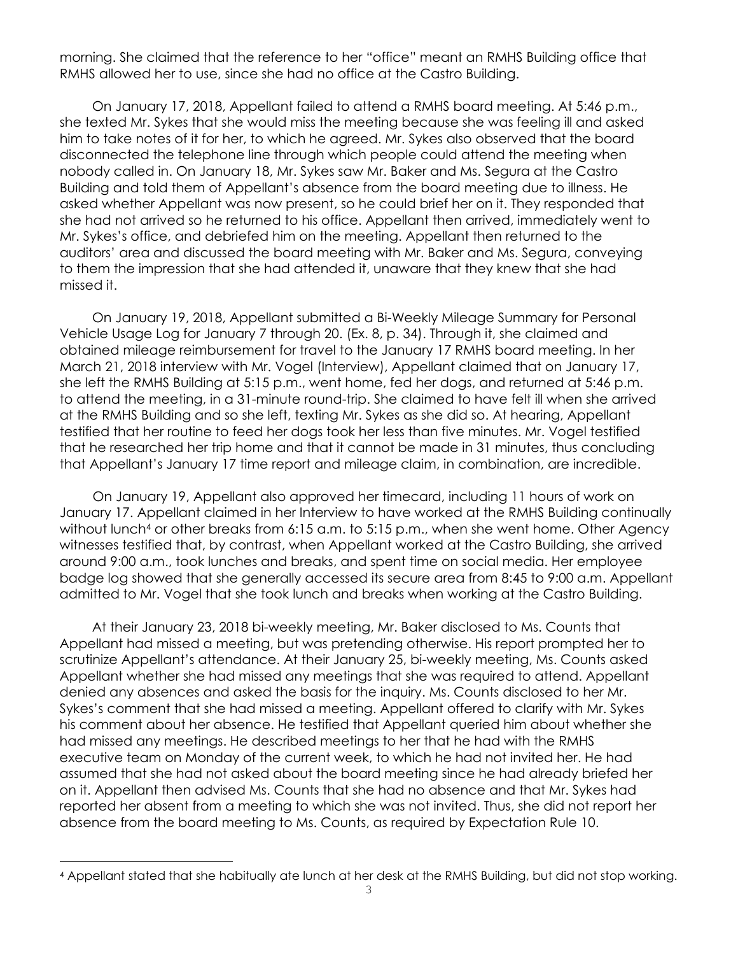morning. She claimed that the reference to her "office" meant an RMHS Building office that RMHS allowed her to use, since she had no office at the Castro Building.

On January 17, 2018, Appellant failed to attend a RMHS board meeting. At 5:46 p.m., she texted Mr. Sykes that she would miss the meeting because she was feeling ill and asked him to take notes of it for her, to which he agreed. Mr. Sykes also observed that the board disconnected the telephone line through which people could attend the meeting when nobody called in. On January 18, Mr. Sykes saw Mr. Baker and Ms. Segura at the Castro Building and told them of Appellant's absence from the board meeting due to illness. He asked whether Appellant was now present, so he could brief her on it. They responded that she had not arrived so he returned to his office. Appellant then arrived, immediately went to Mr. Sykes's office, and debriefed him on the meeting. Appellant then returned to the auditors' area and discussed the board meeting with Mr. Baker and Ms. Segura, conveying to them the impression that she had attended it, unaware that they knew that she had missed it.

On January 19, 2018, Appellant submitted a Bi-Weekly Mileage Summary for Personal Vehicle Usage Log for January 7 through 20. (Ex. 8, p. 34). Through it, she claimed and obtained mileage reimbursement for travel to the January 17 RMHS board meeting. In her March 21, 2018 interview with Mr. Vogel (Interview), Appellant claimed that on January 17, she left the RMHS Building at 5:15 p.m., went home, fed her dogs, and returned at 5:46 p.m. to attend the meeting, in a 31-minute round-trip. She claimed to have felt ill when she arrived at the RMHS Building and so she left, texting Mr. Sykes as she did so. At hearing, Appellant testified that her routine to feed her dogs took her less than five minutes. Mr. Vogel testified that he researched her trip home and that it cannot be made in 31 minutes, thus concluding that Appellant's January 17 time report and mileage claim, in combination, are incredible.

On January 19, Appellant also approved her timecard, including 11 hours of work on January 17. Appellant claimed in her Interview to have worked at the RMHS Building continually without lunch<sup>4</sup> or other breaks from 6:15 a.m. to 5:15 p.m., when she went home. Other Agency witnesses testified that, by contrast, when Appellant worked at the Castro Building, she arrived around 9:00 a.m., took lunches and breaks, and spent time on social media. Her employee badge log showed that she generally accessed its secure area from 8:45 to 9:00 a.m. Appellant admitted to Mr. Vogel that she took lunch and breaks when working at the Castro Building.

At their January 23, 2018 bi-weekly meeting, Mr. Baker disclosed to Ms. Counts that Appellant had missed a meeting, but was pretending otherwise. His report prompted her to scrutinize Appellant's attendance. At their January 25, bi-weekly meeting, Ms. Counts asked Appellant whether she had missed any meetings that she was required to attend. Appellant denied any absences and asked the basis for the inquiry. Ms. Counts disclosed to her Mr. Sykes's comment that she had missed a meeting. Appellant offered to clarify with Mr. Sykes his comment about her absence. He testified that Appellant queried him about whether she had missed any meetings. He described meetings to her that he had with the RMHS executive team on Monday of the current week, to which he had not invited her. He had assumed that she had not asked about the board meeting since he had already briefed her on it. Appellant then advised Ms. Counts that she had no absence and that Mr. Sykes had reported her absent from a meeting to which she was not invited. Thus, she did not report her absence from the board meeting to Ms. Counts, as required by Expectation Rule 10.

i

<sup>4</sup> Appellant stated that she habitually ate lunch at her desk at the RMHS Building, but did not stop working.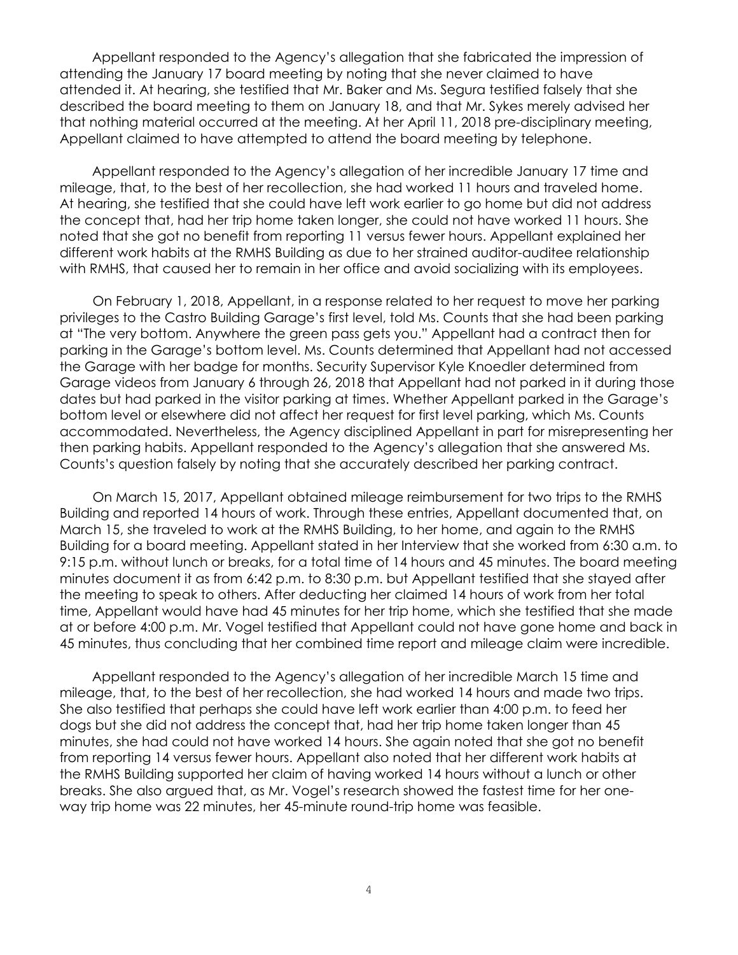Appellant responded to the Agency's allegation that she fabricated the impression of attending the January 17 board meeting by noting that she never claimed to have attended it. At hearing, she testified that Mr. Baker and Ms. Segura testified falsely that she described the board meeting to them on January 18, and that Mr. Sykes merely advised her that nothing material occurred at the meeting. At her April 11, 2018 pre-disciplinary meeting, Appellant claimed to have attempted to attend the board meeting by telephone.

Appellant responded to the Agency's allegation of her incredible January 17 time and mileage, that, to the best of her recollection, she had worked 11 hours and traveled home. At hearing, she testified that she could have left work earlier to go home but did not address the concept that, had her trip home taken longer, she could not have worked 11 hours. She noted that she got no benefit from reporting 11 versus fewer hours. Appellant explained her different work habits at the RMHS Building as due to her strained auditor-auditee relationship with RMHS, that caused her to remain in her office and avoid socializing with its employees.

On February 1, 2018, Appellant, in a response related to her request to move her parking privileges to the Castro Building Garage's first level, told Ms. Counts that she had been parking at "The very bottom. Anywhere the green pass gets you." Appellant had a contract then for parking in the Garage's bottom level. Ms. Counts determined that Appellant had not accessed the Garage with her badge for months. Security Supervisor Kyle Knoedler determined from Garage videos from January 6 through 26, 2018 that Appellant had not parked in it during those dates but had parked in the visitor parking at times. Whether Appellant parked in the Garage's bottom level or elsewhere did not affect her request for first level parking, which Ms. Counts accommodated. Nevertheless, the Agency disciplined Appellant in part for misrepresenting her then parking habits. Appellant responded to the Agency's allegation that she answered Ms. Counts's question falsely by noting that she accurately described her parking contract.

On March 15, 2017, Appellant obtained mileage reimbursement for two trips to the RMHS Building and reported 14 hours of work. Through these entries, Appellant documented that, on March 15, she traveled to work at the RMHS Building, to her home, and again to the RMHS Building for a board meeting. Appellant stated in her Interview that she worked from 6:30 a.m. to 9:15 p.m. without lunch or breaks, for a total time of 14 hours and 45 minutes. The board meeting minutes document it as from 6:42 p.m. to 8:30 p.m. but Appellant testified that she stayed after the meeting to speak to others. After deducting her claimed 14 hours of work from her total time, Appellant would have had 45 minutes for her trip home, which she testified that she made at or before 4:00 p.m. Mr. Vogel testified that Appellant could not have gone home and back in 45 minutes, thus concluding that her combined time report and mileage claim were incredible.

Appellant responded to the Agency's allegation of her incredible March 15 time and mileage, that, to the best of her recollection, she had worked 14 hours and made two trips. She also testified that perhaps she could have left work earlier than 4:00 p.m. to feed her dogs but she did not address the concept that, had her trip home taken longer than 45 minutes, she had could not have worked 14 hours. She again noted that she got no benefit from reporting 14 versus fewer hours. Appellant also noted that her different work habits at the RMHS Building supported her claim of having worked 14 hours without a lunch or other breaks. She also argued that, as Mr. Vogel's research showed the fastest time for her oneway trip home was 22 minutes, her 45-minute round-trip home was feasible.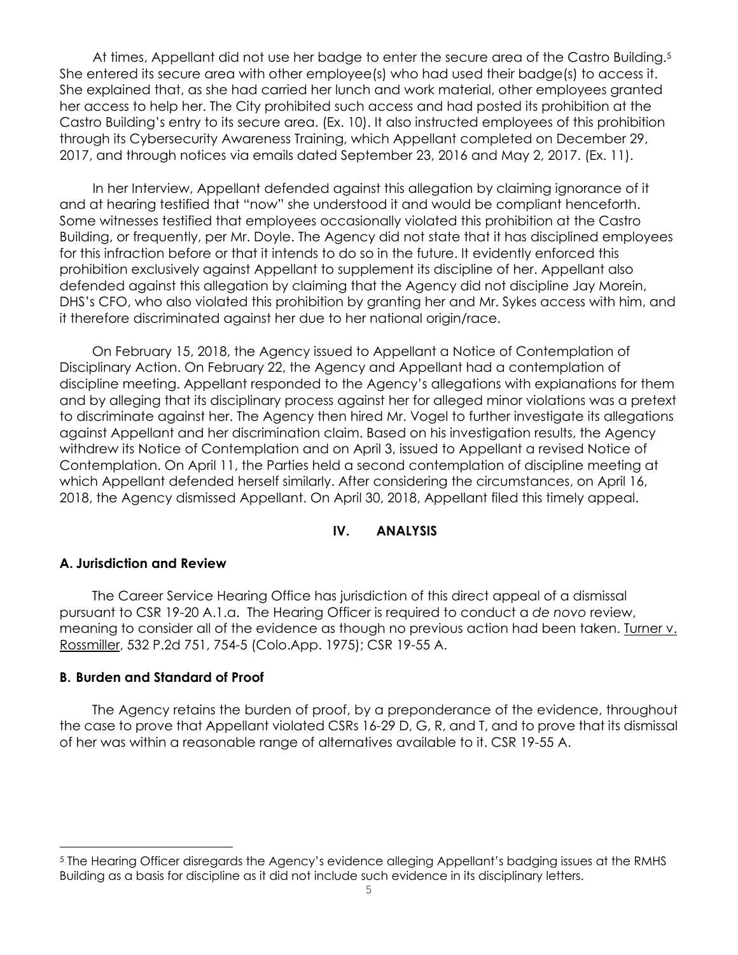At times, Appellant did not use her badge to enter the secure area of the Castro Building.<sup>5</sup> She entered its secure area with other employee(s) who had used their badge(s) to access it. She explained that, as she had carried her lunch and work material, other employees granted her access to help her. The City prohibited such access and had posted its prohibition at the Castro Building's entry to its secure area. (Ex. 10). It also instructed employees of this prohibition through its Cybersecurity Awareness Training, which Appellant completed on December 29, 2017, and through notices via emails dated September 23, 2016 and May 2, 2017. (Ex. 11).

In her Interview, Appellant defended against this allegation by claiming ignorance of it and at hearing testified that "now" she understood it and would be compliant henceforth. Some witnesses testified that employees occasionally violated this prohibition at the Castro Building, or frequently, per Mr. Doyle. The Agency did not state that it has disciplined employees for this infraction before or that it intends to do so in the future. It evidently enforced this prohibition exclusively against Appellant to supplement its discipline of her. Appellant also defended against this allegation by claiming that the Agency did not discipline Jay Morein, DHS's CFO, who also violated this prohibition by granting her and Mr. Sykes access with him, and it therefore discriminated against her due to her national origin/race.

On February 15, 2018, the Agency issued to Appellant a Notice of Contemplation of Disciplinary Action. On February 22, the Agency and Appellant had a contemplation of discipline meeting. Appellant responded to the Agency's allegations with explanations for them and by alleging that its disciplinary process against her for alleged minor violations was a pretext to discriminate against her. The Agency then hired Mr. Vogel to further investigate its allegations against Appellant and her discrimination claim. Based on his investigation results, the Agency withdrew its Notice of Contemplation and on April 3, issued to Appellant a revised Notice of Contemplation. On April 11, the Parties held a second contemplation of discipline meeting at which Appellant defended herself similarly. After considering the circumstances, on April 16, 2018, the Agency dismissed Appellant. On April 30, 2018, Appellant filed this timely appeal.

## **IV. ANALYSIS**

#### **A. Jurisdiction and Review**

The Career Service Hearing Office has jurisdiction of this direct appeal of a dismissal pursuant to CSR 19-20 A.1.a. The Hearing Officer is required to conduct a *de novo* review, meaning to consider all of the evidence as though no previous action had been taken. Turner v. Rossmiller, 532 P.2d 751, 754-5 (Colo.App. 1975); CSR 19-55 A.

#### **B. Burden and Standard of Proof**

i

The Agency retains the burden of proof, by a preponderance of the evidence, throughout the case to prove that Appellant violated CSRs 16-29 D, G, R, and T, and to prove that its dismissal of her was within a reasonable range of alternatives available to it. CSR 19-55 A.

<sup>5</sup> The Hearing Officer disregards the Agency's evidence alleging Appellant's badging issues at the RMHS Building as a basis for discipline as it did not include such evidence in its disciplinary letters.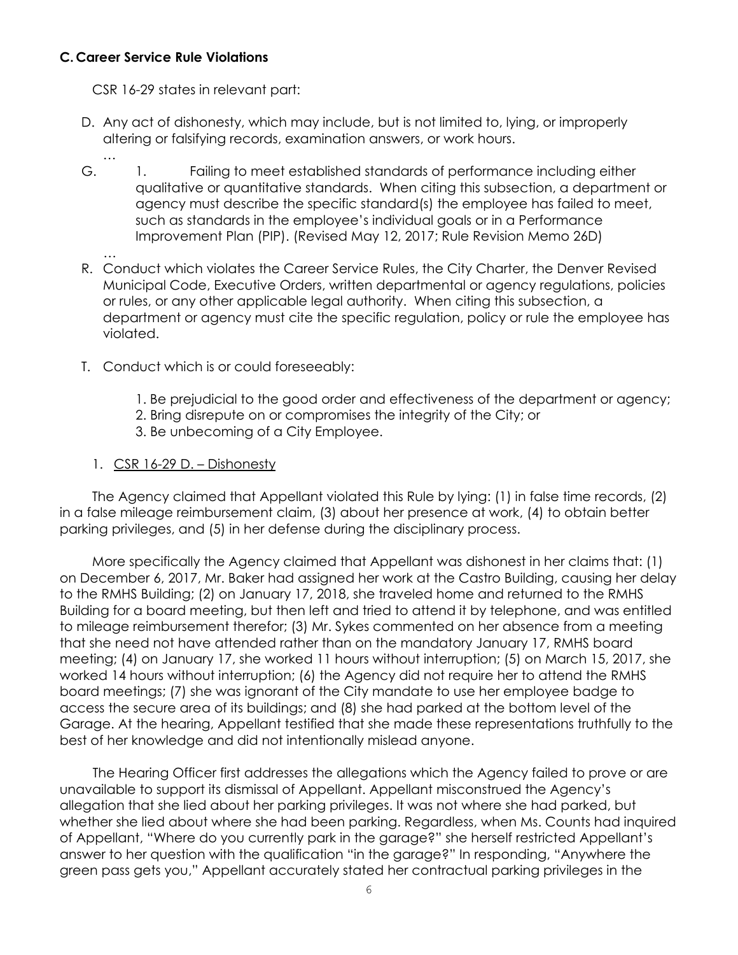## **C. Career Service Rule Violations**

…

CSR 16-29 states in relevant part:

- D. Any act of dishonesty, which may include, but is not limited to, lying, or improperly altering or falsifying records, examination answers, or work hours.
- G. 1. Failing to meet established standards of performance including either qualitative or quantitative standards. When citing this subsection, a department or agency must describe the specific standard(s) the employee has failed to meet, such as standards in the employee's individual goals or in a Performance Improvement Plan (PIP). (Revised May 12, 2017; Rule Revision Memo 26D)
- … R. Conduct which violates the Career Service Rules, the City Charter, the Denver Revised Municipal Code, Executive Orders, written departmental or agency regulations, policies or rules, or any other applicable legal authority. When citing this subsection, a department or agency must cite the specific regulation, policy or rule the employee has violated.
- T. Conduct which is or could foreseeably:
	- 1. Be prejudicial to the good order and effectiveness of the department or agency;
	- 2. Bring disrepute on or compromises the integrity of the City; or
	- 3. Be unbecoming of a City Employee.

## 1. CSR 16-29 D. – Dishonesty

The Agency claimed that Appellant violated this Rule by lying: (1) in false time records, (2) in a false mileage reimbursement claim, (3) about her presence at work, (4) to obtain better parking privileges, and (5) in her defense during the disciplinary process.

More specifically the Agency claimed that Appellant was dishonest in her claims that: (1) on December 6, 2017, Mr. Baker had assigned her work at the Castro Building, causing her delay to the RMHS Building; (2) on January 17, 2018, she traveled home and returned to the RMHS Building for a board meeting, but then left and tried to attend it by telephone, and was entitled to mileage reimbursement therefor; (3) Mr. Sykes commented on her absence from a meeting that she need not have attended rather than on the mandatory January 17, RMHS board meeting; (4) on January 17, she worked 11 hours without interruption; (5) on March 15, 2017, she worked 14 hours without interruption; (6) the Agency did not require her to attend the RMHS board meetings; (7) she was ignorant of the City mandate to use her employee badge to access the secure area of its buildings; and (8) she had parked at the bottom level of the Garage. At the hearing, Appellant testified that she made these representations truthfully to the best of her knowledge and did not intentionally mislead anyone.

The Hearing Officer first addresses the allegations which the Agency failed to prove or are unavailable to support its dismissal of Appellant. Appellant misconstrued the Agency's allegation that she lied about her parking privileges. It was not where she had parked, but whether she lied about where she had been parking. Regardless, when Ms. Counts had inquired of Appellant, "Where do you currently park in the garage?" she herself restricted Appellant's answer to her question with the qualification "in the garage?" In responding, "Anywhere the green pass gets you," Appellant accurately stated her contractual parking privileges in the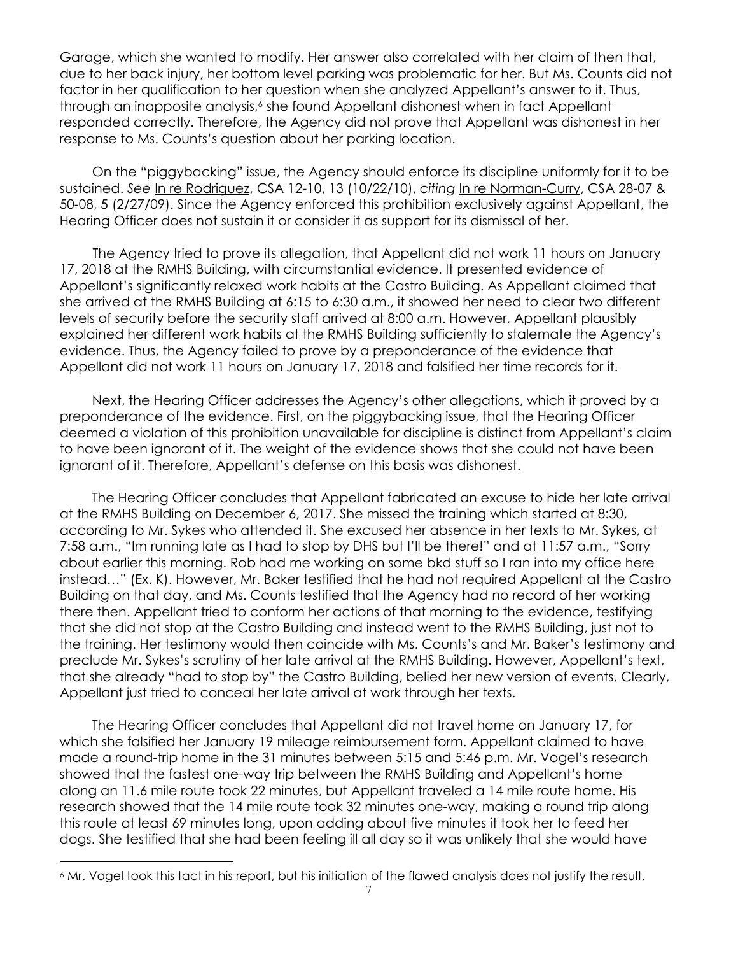Garage, which she wanted to modify. Her answer also correlated with her claim of then that, due to her back injury, her bottom level parking was problematic for her. But Ms. Counts did not factor in her qualification to her question when she analyzed Appellant's answer to it. Thus, through an inapposite analysis,<sup>6</sup> she found Appellant dishonest when in fact Appellant responded correctly. Therefore, the Agency did not prove that Appellant was dishonest in her response to Ms. Counts's question about her parking location.

On the "piggybacking" issue, the Agency should enforce its discipline uniformly for it to be sustained. *See* In re Rodriguez, CSA 12-10, 13 (10/22/10), *citing* In re Norman-Curry, CSA 28-07 & 50-08, 5 (2/27/09). Since the Agency enforced this prohibition exclusively against Appellant, the Hearing Officer does not sustain it or consider it as support for its dismissal of her.

The Agency tried to prove its allegation, that Appellant did not work 11 hours on January 17, 2018 at the RMHS Building, with circumstantial evidence. It presented evidence of Appellant's significantly relaxed work habits at the Castro Building. As Appellant claimed that she arrived at the RMHS Building at 6:15 to 6:30 a.m., it showed her need to clear two different levels of security before the security staff arrived at 8:00 a.m. However, Appellant plausibly explained her different work habits at the RMHS Building sufficiently to stalemate the Agency's evidence. Thus, the Agency failed to prove by a preponderance of the evidence that Appellant did not work 11 hours on January 17, 2018 and falsified her time records for it.

Next, the Hearing Officer addresses the Agency's other allegations, which it proved by a preponderance of the evidence. First, on the piggybacking issue, that the Hearing Officer deemed a violation of this prohibition unavailable for discipline is distinct from Appellant's claim to have been ignorant of it. The weight of the evidence shows that she could not have been ignorant of it. Therefore, Appellant's defense on this basis was dishonest.

The Hearing Officer concludes that Appellant fabricated an excuse to hide her late arrival at the RMHS Building on December 6, 2017. She missed the training which started at 8:30, according to Mr. Sykes who attended it. She excused her absence in her texts to Mr. Sykes, at 7:58 a.m., "Im running late as I had to stop by DHS but I'll be there!" and at 11:57 a.m., "Sorry about earlier this morning. Rob had me working on some bkd stuff so I ran into my office here instead…" (Ex. K). However, Mr. Baker testified that he had not required Appellant at the Castro Building on that day, and Ms. Counts testified that the Agency had no record of her working there then. Appellant tried to conform her actions of that morning to the evidence, testifying that she did not stop at the Castro Building and instead went to the RMHS Building, just not to the training. Her testimony would then coincide with Ms. Counts's and Mr. Baker's testimony and preclude Mr. Sykes's scrutiny of her late arrival at the RMHS Building. However, Appellant's text, that she already "had to stop by" the Castro Building, belied her new version of events. Clearly, Appellant just tried to conceal her late arrival at work through her texts.

The Hearing Officer concludes that Appellant did not travel home on January 17, for which she falsified her January 19 mileage reimbursement form. Appellant claimed to have made a round-trip home in the 31 minutes between 5:15 and 5:46 p.m. Mr. Vogel's research showed that the fastest one-way trip between the RMHS Building and Appellant's home along an 11.6 mile route took 22 minutes, but Appellant traveled a 14 mile route home. His research showed that the 14 mile route took 32 minutes one-way, making a round trip along this route at least 69 minutes long, upon adding about five minutes it took her to feed her dogs. She testified that she had been feeling ill all day so it was unlikely that she would have

i

<sup>6</sup> Mr. Vogel took this tact in his report, but his initiation of the flawed analysis does not justify the result.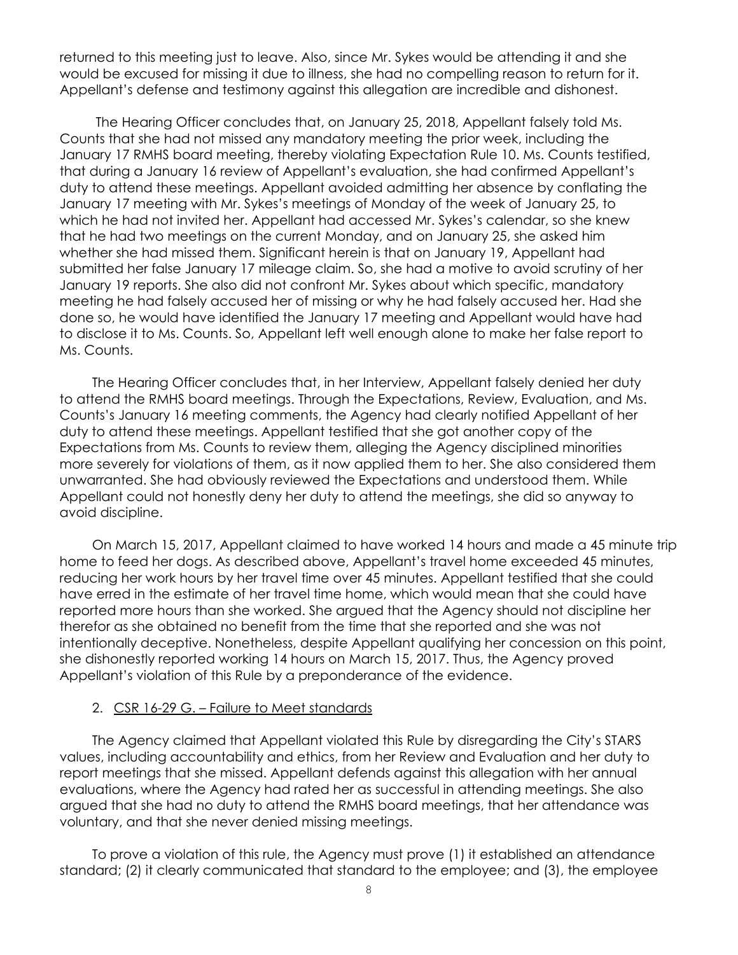returned to this meeting just to leave. Also, since Mr. Sykes would be attending it and she would be excused for missing it due to illness, she had no compelling reason to return for it. Appellant's defense and testimony against this allegation are incredible and dishonest.

 The Hearing Officer concludes that, on January 25, 2018, Appellant falsely told Ms. Counts that she had not missed any mandatory meeting the prior week, including the January 17 RMHS board meeting, thereby violating Expectation Rule 10. Ms. Counts testified, that during a January 16 review of Appellant's evaluation, she had confirmed Appellant's duty to attend these meetings. Appellant avoided admitting her absence by conflating the January 17 meeting with Mr. Sykes's meetings of Monday of the week of January 25, to which he had not invited her. Appellant had accessed Mr. Sykes's calendar, so she knew that he had two meetings on the current Monday, and on January 25, she asked him whether she had missed them. Significant herein is that on January 19, Appellant had submitted her false January 17 mileage claim. So, she had a motive to avoid scrutiny of her January 19 reports. She also did not confront Mr. Sykes about which specific, mandatory meeting he had falsely accused her of missing or why he had falsely accused her. Had she done so, he would have identified the January 17 meeting and Appellant would have had to disclose it to Ms. Counts. So, Appellant left well enough alone to make her false report to Ms. Counts.

The Hearing Officer concludes that, in her Interview, Appellant falsely denied her duty to attend the RMHS board meetings. Through the Expectations, Review, Evaluation, and Ms. Counts's January 16 meeting comments, the Agency had clearly notified Appellant of her duty to attend these meetings. Appellant testified that she got another copy of the Expectations from Ms. Counts to review them, alleging the Agency disciplined minorities more severely for violations of them, as it now applied them to her. She also considered them unwarranted. She had obviously reviewed the Expectations and understood them. While Appellant could not honestly deny her duty to attend the meetings, she did so anyway to avoid discipline.

On March 15, 2017, Appellant claimed to have worked 14 hours and made a 45 minute trip home to feed her dogs. As described above, Appellant's travel home exceeded 45 minutes, reducing her work hours by her travel time over 45 minutes. Appellant testified that she could have erred in the estimate of her travel time home, which would mean that she could have reported more hours than she worked. She argued that the Agency should not discipline her therefor as she obtained no benefit from the time that she reported and she was not intentionally deceptive. Nonetheless, despite Appellant qualifying her concession on this point, she dishonestly reported working 14 hours on March 15, 2017. Thus, the Agency proved Appellant's violation of this Rule by a preponderance of the evidence.

#### 2. CSR 16-29 G. – Failure to Meet standards

The Agency claimed that Appellant violated this Rule by disregarding the City's STARS values, including accountability and ethics, from her Review and Evaluation and her duty to report meetings that she missed. Appellant defends against this allegation with her annual evaluations, where the Agency had rated her as successful in attending meetings. She also argued that she had no duty to attend the RMHS board meetings, that her attendance was voluntary, and that she never denied missing meetings.

To prove a violation of this rule, the Agency must prove (1) it established an attendance standard; (2) it clearly communicated that standard to the employee; and (3), the employee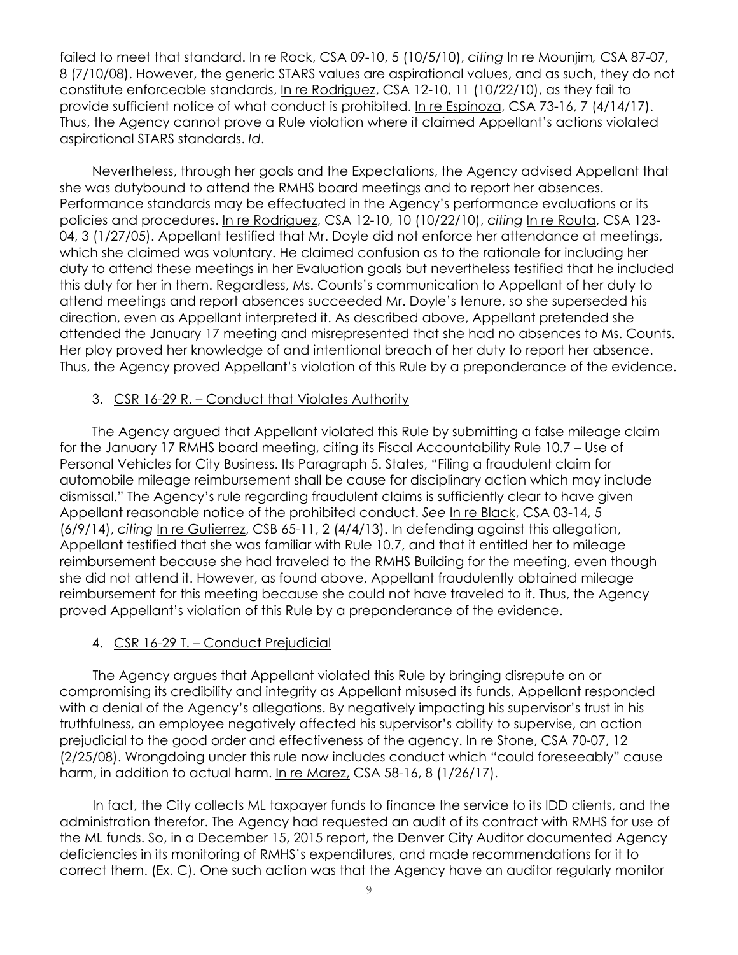failed to meet that standard. In re Rock, CSA 09-10, 5 (10/5/10), *citing* In re Mounjim*,* CSA 87-07, 8 (7/10/08). However, the generic STARS values are aspirational values, and as such, they do not constitute enforceable standards, In re Rodriguez, CSA 12-10, 11 (10/22/10), as they fail to provide sufficient notice of what conduct is prohibited. In re Espinoza, CSA 73-16, 7 (4/14/17). Thus, the Agency cannot prove a Rule violation where it claimed Appellant's actions violated aspirational STARS standards. *Id*.

Nevertheless, through her goals and the Expectations, the Agency advised Appellant that she was dutybound to attend the RMHS board meetings and to report her absences. Performance standards may be effectuated in the Agency's performance evaluations or its policies and procedures. In re Rodriguez, CSA 12-10, 10 (10/22/10), *citing* In re Routa, CSA 123- 04, 3 (1/27/05). Appellant testified that Mr. Doyle did not enforce her attendance at meetings, which she claimed was voluntary. He claimed confusion as to the rationale for including her duty to attend these meetings in her Evaluation goals but nevertheless testified that he included this duty for her in them. Regardless, Ms. Counts's communication to Appellant of her duty to attend meetings and report absences succeeded Mr. Doyle's tenure, so she superseded his direction, even as Appellant interpreted it. As described above, Appellant pretended she attended the January 17 meeting and misrepresented that she had no absences to Ms. Counts. Her ploy proved her knowledge of and intentional breach of her duty to report her absence. Thus, the Agency proved Appellant's violation of this Rule by a preponderance of the evidence.

### 3. CSR 16-29 R. – Conduct that Violates Authority

The Agency argued that Appellant violated this Rule by submitting a false mileage claim for the January 17 RMHS board meeting, citing its Fiscal Accountability Rule 10.7 – Use of Personal Vehicles for City Business. Its Paragraph 5. States, "Filing a fraudulent claim for automobile mileage reimbursement shall be cause for disciplinary action which may include dismissal." The Agency's rule regarding fraudulent claims is sufficiently clear to have given Appellant reasonable notice of the prohibited conduct. *See* In re Black, CSA 03-14, 5 (6/9/14), *citing* In re Gutierrez, CSB 65-11, 2 (4/4/13). In defending against this allegation, Appellant testified that she was familiar with Rule 10.7, and that it entitled her to mileage reimbursement because she had traveled to the RMHS Building for the meeting, even though she did not attend it. However, as found above, Appellant fraudulently obtained mileage reimbursement for this meeting because she could not have traveled to it. Thus, the Agency proved Appellant's violation of this Rule by a preponderance of the evidence.

### 4. CSR 16-29 T. – Conduct Prejudicial

The Agency argues that Appellant violated this Rule by bringing disrepute on or compromising its credibility and integrity as Appellant misused its funds. Appellant responded with a denial of the Agency's allegations. By negatively impacting his supervisor's trust in his truthfulness, an employee negatively affected his supervisor's ability to supervise, an action prejudicial to the good order and effectiveness of the agency. In re Stone, CSA 70-07, 12 (2/25/08). Wrongdoing under this rule now includes conduct which "could foreseeably" cause harm, in addition to actual harm. In re Marez, CSA 58-16, 8 (1/26/17).

In fact, the City collects ML taxpayer funds to finance the service to its IDD clients, and the administration therefor. The Agency had requested an audit of its contract with RMHS for use of the ML funds. So, in a December 15, 2015 report, the Denver City Auditor documented Agency deficiencies in its monitoring of RMHS's expenditures, and made recommendations for it to correct them. (Ex. C). One such action was that the Agency have an auditor regularly monitor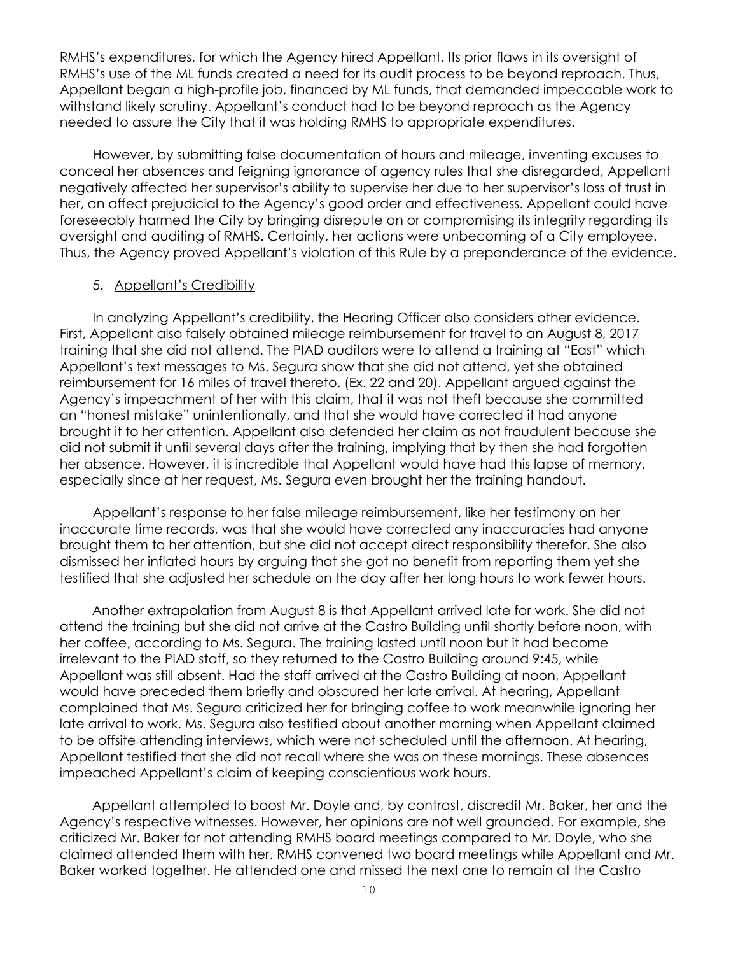RMHS's expenditures, for which the Agency hired Appellant. Its prior flaws in its oversight of RMHS's use of the ML funds created a need for its audit process to be beyond reproach. Thus, Appellant began a high-profile job, financed by ML funds, that demanded impeccable work to withstand likely scrutiny. Appellant's conduct had to be beyond reproach as the Agency needed to assure the City that it was holding RMHS to appropriate expenditures.

However, by submitting false documentation of hours and mileage, inventing excuses to conceal her absences and feigning ignorance of agency rules that she disregarded, Appellant negatively affected her supervisor's ability to supervise her due to her supervisor's loss of trust in her, an affect prejudicial to the Agency's good order and effectiveness. Appellant could have foreseeably harmed the City by bringing disrepute on or compromising its integrity regarding its oversight and auditing of RMHS. Certainly, her actions were unbecoming of a City employee. Thus, the Agency proved Appellant's violation of this Rule by a preponderance of the evidence.

#### 5. Appellant's Credibility

In analyzing Appellant's credibility, the Hearing Officer also considers other evidence. First, Appellant also falsely obtained mileage reimbursement for travel to an August 8, 2017 training that she did not attend. The PIAD auditors were to attend a training at "East" which Appellant's text messages to Ms. Segura show that she did not attend, yet she obtained reimbursement for 16 miles of travel thereto. (Ex. 22 and 20). Appellant argued against the Agency's impeachment of her with this claim, that it was not theft because she committed an "honest mistake" unintentionally, and that she would have corrected it had anyone brought it to her attention. Appellant also defended her claim as not fraudulent because she did not submit it until several days after the training, implying that by then she had forgotten her absence. However, it is incredible that Appellant would have had this lapse of memory, especially since at her request, Ms. Segura even brought her the training handout.

Appellant's response to her false mileage reimbursement, like her testimony on her inaccurate time records, was that she would have corrected any inaccuracies had anyone brought them to her attention, but she did not accept direct responsibility therefor. She also dismissed her inflated hours by arguing that she got no benefit from reporting them yet she testified that she adjusted her schedule on the day after her long hours to work fewer hours.

Another extrapolation from August 8 is that Appellant arrived late for work. She did not attend the training but she did not arrive at the Castro Building until shortly before noon, with her coffee, according to Ms. Segura. The training lasted until noon but it had become irrelevant to the PIAD staff, so they returned to the Castro Building around 9:45, while Appellant was still absent. Had the staff arrived at the Castro Building at noon, Appellant would have preceded them briefly and obscured her late arrival. At hearing, Appellant complained that Ms. Segura criticized her for bringing coffee to work meanwhile ignoring her late arrival to work. Ms. Segura also testified about another morning when Appellant claimed to be offsite attending interviews, which were not scheduled until the afternoon. At hearing, Appellant testified that she did not recall where she was on these mornings. These absences impeached Appellant's claim of keeping conscientious work hours.

Appellant attempted to boost Mr. Doyle and, by contrast, discredit Mr. Baker, her and the Agency's respective witnesses. However, her opinions are not well grounded. For example, she criticized Mr. Baker for not attending RMHS board meetings compared to Mr. Doyle, who she claimed attended them with her. RMHS convened two board meetings while Appellant and Mr. Baker worked together. He attended one and missed the next one to remain at the Castro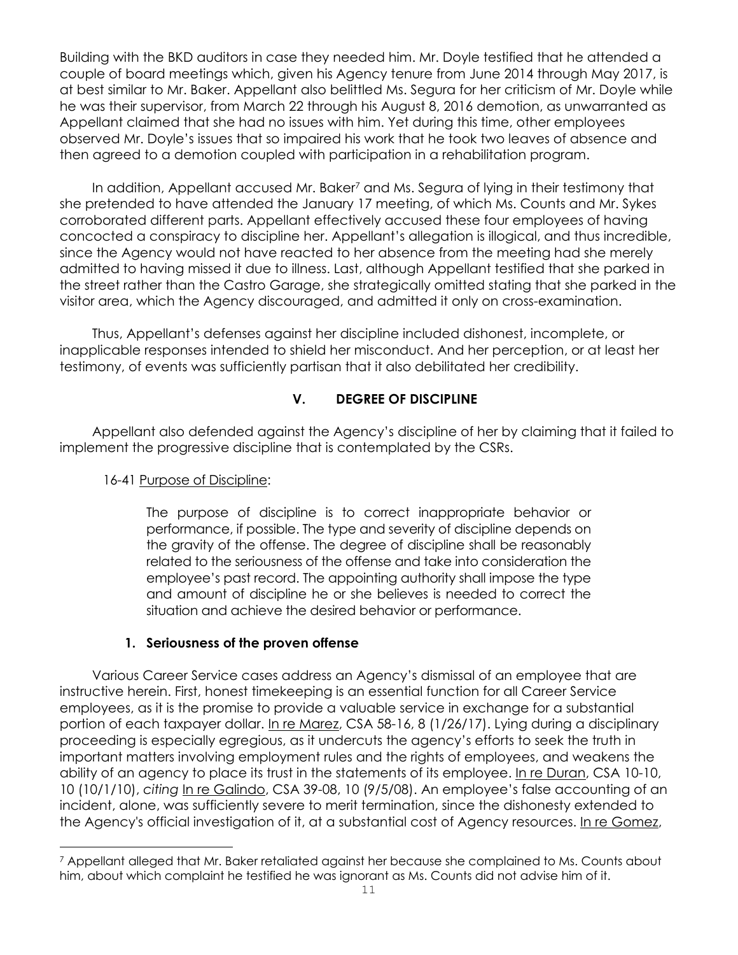Building with the BKD auditors in case they needed him. Mr. Doyle testified that he attended a couple of board meetings which, given his Agency tenure from June 2014 through May 2017, is at best similar to Mr. Baker. Appellant also belittled Ms. Segura for her criticism of Mr. Doyle while he was their supervisor, from March 22 through his August 8, 2016 demotion, as unwarranted as Appellant claimed that she had no issues with him. Yet during this time, other employees observed Mr. Doyle's issues that so impaired his work that he took two leaves of absence and then agreed to a demotion coupled with participation in a rehabilitation program.

In addition, Appellant accused Mr. Baker<sup>7</sup> and Ms. Segura of lying in their testimony that she pretended to have attended the January 17 meeting, of which Ms. Counts and Mr. Sykes corroborated different parts. Appellant effectively accused these four employees of having concocted a conspiracy to discipline her. Appellant's allegation is illogical, and thus incredible, since the Agency would not have reacted to her absence from the meeting had she merely admitted to having missed it due to illness. Last, although Appellant testified that she parked in the street rather than the Castro Garage, she strategically omitted stating that she parked in the visitor area, which the Agency discouraged, and admitted it only on cross-examination.

Thus, Appellant's defenses against her discipline included dishonest, incomplete, or inapplicable responses intended to shield her misconduct. And her perception, or at least her testimony, of events was sufficiently partisan that it also debilitated her credibility.

## **V. DEGREE OF DISCIPLINE**

Appellant also defended against the Agency's discipline of her by claiming that it failed to implement the progressive discipline that is contemplated by the CSRs.

## 16-41 Purpose of Discipline:

i

The purpose of discipline is to correct inappropriate behavior or performance, if possible. The type and severity of discipline depends on the gravity of the offense. The degree of discipline shall be reasonably related to the seriousness of the offense and take into consideration the employee's past record. The appointing authority shall impose the type and amount of discipline he or she believes is needed to correct the situation and achieve the desired behavior or performance.

## **1. Seriousness of the proven offense**

Various Career Service cases address an Agency's dismissal of an employee that are instructive herein. First, honest timekeeping is an essential function for all Career Service employees, as it is the promise to provide a valuable service in exchange for a substantial portion of each taxpayer dollar. In re Marez, CSA 58-16, 8 (1/26/17). Lying during a disciplinary proceeding is especially egregious, as it undercuts the agency's efforts to seek the truth in important matters involving employment rules and the rights of employees, and weakens the ability of an agency to place its trust in the statements of its employee. In re Duran, CSA 10-10, 10 (10/1/10), *citing* In re Galindo, CSA 39-08, 10 (9/5/08). An employee's false accounting of an incident, alone, was sufficiently severe to merit termination, since the dishonesty extended to the Agency's official investigation of it, at a substantial cost of Agency resources. In re Gomez,

<sup>7</sup> Appellant alleged that Mr. Baker retaliated against her because she complained to Ms. Counts about him, about which complaint he testified he was ignorant as Ms. Counts did not advise him of it.